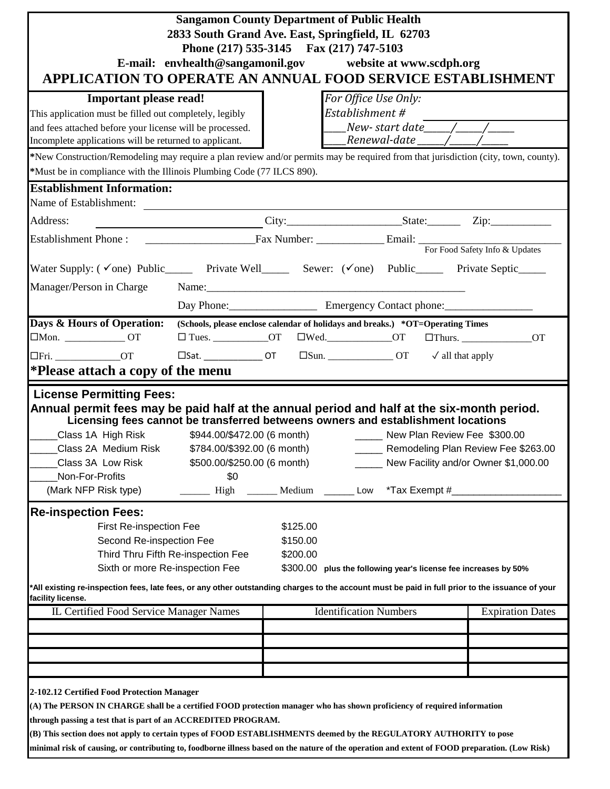| <b>Sangamon County Department of Public Health</b><br>2833 South Grand Ave. East, Springfield, IL 62703<br>Phone (217) 535-3145 Fax (217) 747-5103<br>E-mail: envhealth@sangamonil.gov website at www.scdph.org<br>APPLICATION TO OPERATE AN ANNUAL FOOD SERVICE ESTABLISHMENT                                                                                                                                                                                                                                 |                                                                                                                                                                                                                                |                                  |                                                                           |                |                                                                             |  |  |
|----------------------------------------------------------------------------------------------------------------------------------------------------------------------------------------------------------------------------------------------------------------------------------------------------------------------------------------------------------------------------------------------------------------------------------------------------------------------------------------------------------------|--------------------------------------------------------------------------------------------------------------------------------------------------------------------------------------------------------------------------------|----------------------------------|---------------------------------------------------------------------------|----------------|-----------------------------------------------------------------------------|--|--|
| <b>Important please read!</b><br>This application must be filled out completely, legibly<br>and fees attached before your license will be processed.<br>Incomplete applications will be returned to applicant.<br>*New Construction/Remodeling may require a plan review and/or permits may be required from that jurisdiction (city, town, county).<br>*Must be in compliance with the Illinois Plumbing Code (77 ILCS 890).                                                                                  |                                                                                                                                                                                                                                |                                  | For Office Use Only:<br>Establishment #<br>____Renewal-date _____/____    |                |                                                                             |  |  |
| <b>Establishment Information:</b><br>Name of Establishment:                                                                                                                                                                                                                                                                                                                                                                                                                                                    |                                                                                                                                                                                                                                |                                  |                                                                           |                |                                                                             |  |  |
| Address:                                                                                                                                                                                                                                                                                                                                                                                                                                                                                                       | $City:$ State: Zip: Zip:                                                                                                                                                                                                       |                                  |                                                                           |                |                                                                             |  |  |
| Establishment Phone : <u>Contract Communication</u> Email: Establishment Phone : Communication Communication Communication Communication Communication Communication Communication Communication Communication Communication Commun                                                                                                                                                                                                                                                                            |                                                                                                                                                                                                                                |                                  |                                                                           |                |                                                                             |  |  |
| Water Supply: (√one) Public______ Private Well______ Sewer: (√one) Public______ Private Septic_____                                                                                                                                                                                                                                                                                                                                                                                                            |                                                                                                                                                                                                                                |                                  |                                                                           |                |                                                                             |  |  |
| Manager/Person in Charge                                                                                                                                                                                                                                                                                                                                                                                                                                                                                       | Name: Name and the state of the state of the state of the state of the state of the state of the state of the state of the state of the state of the state of the state of the state of the state of the state of the state of |                                  |                                                                           |                |                                                                             |  |  |
|                                                                                                                                                                                                                                                                                                                                                                                                                                                                                                                |                                                                                                                                                                                                                                |                                  |                                                                           |                |                                                                             |  |  |
| Days & Hours of Operation: (Schools, please enclose calendar of holidays and breaks.) *OT=Operating Times<br>$\Box$ Mon. _________________OT<br>$\Box$ Fri. __________________OT<br>*Please attach a copy of the menu                                                                                                                                                                                                                                                                                          | $\square$ Tues. _____________OT $\square$ Wed. _____________OT $\square$ Thurs. ______________OT<br>$\square$ Sat. ________________OT $\square$ Sun. __________________OT $\checkmark$ all that apply                          |                                  |                                                                           |                |                                                                             |  |  |
| <b>License Permitting Fees:</b><br>Annual permit fees may be paid half at the annual period and half at the six-month period.<br>Licensing fees cannot be transferred betweens owners and establishment locations<br>Class 1A High Risk<br>Class 2A Medium Risk<br>Class 3A Low Risk<br>Non-For-Profits<br>(Mark NFP Risk type)                                                                                                                                                                                | \$784.00/\$392.00 (6 month)<br>\$500.00/\$250.00 (6 month)<br>\$0<br>High                                                                                                                                                      | Medium                           | \$944.00/\$472.00 (6 month) _________ New Plan Review Fee \$300.00<br>Low | *Tax Exempt #_ | Remodeling Plan Review Fee \$263.00<br>New Facility and/or Owner \$1,000.00 |  |  |
| <b>Re-inspection Fees:</b>                                                                                                                                                                                                                                                                                                                                                                                                                                                                                     |                                                                                                                                                                                                                                |                                  |                                                                           |                |                                                                             |  |  |
| First Re-inspection Fee<br>Second Re-inspection Fee<br>Sixth or more Re-inspection Fee                                                                                                                                                                                                                                                                                                                                                                                                                         | Third Thru Fifth Re-inspection Fee                                                                                                                                                                                             | \$125.00<br>\$150.00<br>\$200.00 | \$300.00 plus the following year's license fee increases by 50%           |                |                                                                             |  |  |
| *All existing re-inspection fees, late fees, or any other outstanding charges to the account must be paid in full prior to the issuance of your<br>facility license.                                                                                                                                                                                                                                                                                                                                           |                                                                                                                                                                                                                                |                                  |                                                                           |                |                                                                             |  |  |
| IL Certified Food Service Manager Names                                                                                                                                                                                                                                                                                                                                                                                                                                                                        |                                                                                                                                                                                                                                |                                  | <b>Identification Numbers</b>                                             |                | <b>Expiration Dates</b>                                                     |  |  |
| 2-102.12 Certified Food Protection Manager<br>(A) The PERSON IN CHARGE shall be a certified FOOD protection manager who has shown proficiency of required information<br>through passing a test that is part of an ACCREDITED PROGRAM.<br>(B) This section does not apply to certain types of FOOD ESTABLISHMENTS deemed by the REGULATORY AUTHORITY to pose<br>minimal risk of causing, or contributing to, foodborne illness based on the nature of the operation and extent of FOOD preparation. (Low Risk) |                                                                                                                                                                                                                                |                                  |                                                                           |                |                                                                             |  |  |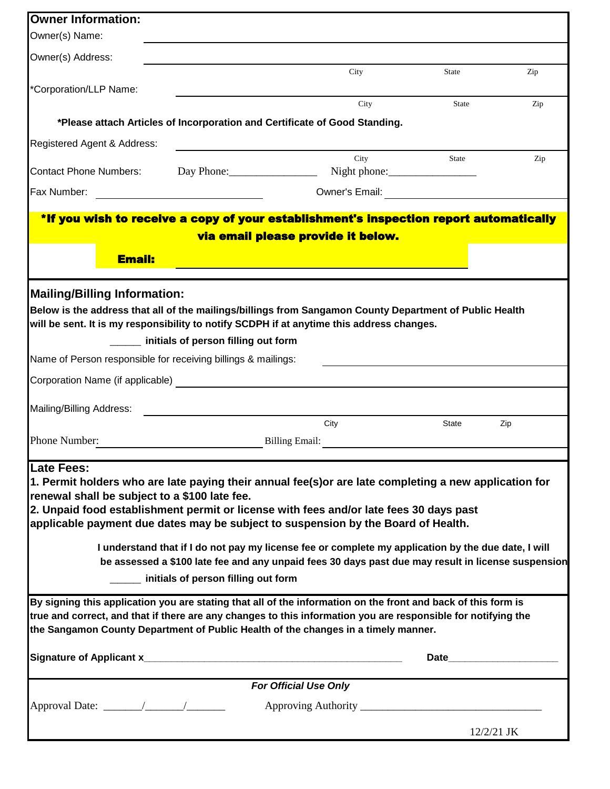| <b>Owner Information:</b>                                                                           |                                                      |                                                                                                               |                                                                                                                                                                                                                                |     |  |  |  |  |
|-----------------------------------------------------------------------------------------------------|------------------------------------------------------|---------------------------------------------------------------------------------------------------------------|--------------------------------------------------------------------------------------------------------------------------------------------------------------------------------------------------------------------------------|-----|--|--|--|--|
| Owner(s) Name:                                                                                      |                                                      |                                                                                                               |                                                                                                                                                                                                                                |     |  |  |  |  |
| Owner(s) Address:                                                                                   |                                                      |                                                                                                               |                                                                                                                                                                                                                                |     |  |  |  |  |
|                                                                                                     |                                                      | City                                                                                                          | State                                                                                                                                                                                                                          | Zip |  |  |  |  |
| *Corporation/LLP Name:                                                                              |                                                      |                                                                                                               |                                                                                                                                                                                                                                |     |  |  |  |  |
|                                                                                                     |                                                      | City                                                                                                          | <b>State</b>                                                                                                                                                                                                                   | Zip |  |  |  |  |
|                                                                                                     |                                                      | *Please attach Articles of Incorporation and Certificate of Good Standing.                                    |                                                                                                                                                                                                                                |     |  |  |  |  |
| Registered Agent & Address:                                                                         |                                                      | City                                                                                                          | State                                                                                                                                                                                                                          | Zip |  |  |  |  |
| <b>Contact Phone Numbers:</b>                                                                       |                                                      | Day Phone: Night phone:                                                                                       |                                                                                                                                                                                                                                |     |  |  |  |  |
| Fax Number:                                                                                         | <u> 1990 - Jan Barbara Barbara, maskin politik (</u> |                                                                                                               |                                                                                                                                                                                                                                |     |  |  |  |  |
|                                                                                                     |                                                      | *If you wish to receive a copy of your establishment's inspection report automatically                        |                                                                                                                                                                                                                                |     |  |  |  |  |
|                                                                                                     |                                                      | via email please provide it below.                                                                            |                                                                                                                                                                                                                                |     |  |  |  |  |
| Email:                                                                                              |                                                      | <b>Service Service</b>                                                                                        |                                                                                                                                                                                                                                |     |  |  |  |  |
|                                                                                                     |                                                      |                                                                                                               |                                                                                                                                                                                                                                |     |  |  |  |  |
| <b>Mailing/Billing Information:</b>                                                                 |                                                      |                                                                                                               |                                                                                                                                                                                                                                |     |  |  |  |  |
|                                                                                                     |                                                      | Below is the address that all of the mailings/billings from Sangamon County Department of Public Health       |                                                                                                                                                                                                                                |     |  |  |  |  |
|                                                                                                     |                                                      | will be sent. It is my responsibility to notify SCDPH if at anytime this address changes.                     |                                                                                                                                                                                                                                |     |  |  |  |  |
|                                                                                                     |                                                      |                                                                                                               |                                                                                                                                                                                                                                |     |  |  |  |  |
|                                                                                                     | initials of person filling out form                  |                                                                                                               |                                                                                                                                                                                                                                |     |  |  |  |  |
| Name of Person responsible for receiving billings & mailings:                                       |                                                      |                                                                                                               |                                                                                                                                                                                                                                |     |  |  |  |  |
| Corporation Name (if applicable)                                                                    |                                                      |                                                                                                               |                                                                                                                                                                                                                                |     |  |  |  |  |
| Mailing/Billing Address:                                                                            | <u> 1980 - Andrea Andrew Maria (h. 1980).</u>        |                                                                                                               |                                                                                                                                                                                                                                |     |  |  |  |  |
|                                                                                                     |                                                      | City                                                                                                          | State                                                                                                                                                                                                                          | Zip |  |  |  |  |
| Phone Number:                                                                                       |                                                      | Billing Email:                                                                                                |                                                                                                                                                                                                                                |     |  |  |  |  |
| Late Fees:                                                                                          |                                                      |                                                                                                               |                                                                                                                                                                                                                                |     |  |  |  |  |
|                                                                                                     |                                                      | 1. Permit holders who are late paying their annual fee(s) or are late completing a new application for        |                                                                                                                                                                                                                                |     |  |  |  |  |
| renewal shall be subject to a \$100 late fee.                                                       |                                                      |                                                                                                               |                                                                                                                                                                                                                                |     |  |  |  |  |
|                                                                                                     |                                                      | 2. Unpaid food establishment permit or license with fees and/or late fees 30 days past                        |                                                                                                                                                                                                                                |     |  |  |  |  |
|                                                                                                     |                                                      | applicable payment due dates may be subject to suspension by the Board of Health.                             |                                                                                                                                                                                                                                |     |  |  |  |  |
| I understand that if I do not pay my license fee or complete my application by the due date, I will |                                                      |                                                                                                               |                                                                                                                                                                                                                                |     |  |  |  |  |
| be assessed a \$100 late fee and any unpaid fees 30 days past due may result in license suspension  |                                                      |                                                                                                               |                                                                                                                                                                                                                                |     |  |  |  |  |
| _____ initials of person filling out form                                                           |                                                      |                                                                                                               |                                                                                                                                                                                                                                |     |  |  |  |  |
|                                                                                                     |                                                      |                                                                                                               |                                                                                                                                                                                                                                |     |  |  |  |  |
|                                                                                                     |                                                      | By signing this application you are stating that all of the information on the front and back of this form is |                                                                                                                                                                                                                                |     |  |  |  |  |
|                                                                                                     |                                                      | true and correct, and that if there are any changes to this information you are responsible for notifying the |                                                                                                                                                                                                                                |     |  |  |  |  |
|                                                                                                     |                                                      | the Sangamon County Department of Public Health of the changes in a timely manner.                            |                                                                                                                                                                                                                                |     |  |  |  |  |
|                                                                                                     |                                                      |                                                                                                               | Date and the contract of the contract of the contract of the contract of the contract of the contract of the contract of the contract of the contract of the contract of the contract of the contract of the contract of the c |     |  |  |  |  |
|                                                                                                     |                                                      | <b>For Official Use Only</b>                                                                                  |                                                                                                                                                                                                                                |     |  |  |  |  |
|                                                                                                     |                                                      |                                                                                                               |                                                                                                                                                                                                                                |     |  |  |  |  |
|                                                                                                     |                                                      |                                                                                                               |                                                                                                                                                                                                                                |     |  |  |  |  |
|                                                                                                     |                                                      |                                                                                                               | $12/2/21$ JK                                                                                                                                                                                                                   |     |  |  |  |  |